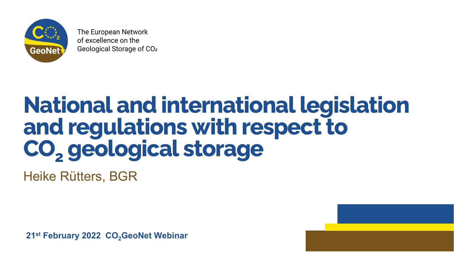

The European Network of excellence on the Geological Storage of CO<sub>2</sub>

### **National and international legislation and regulations with respect to CO2 geological storage** Heike Rütters, BGR

**21st February 2022 CO<sub>2</sub>GeoNet Webinar** 

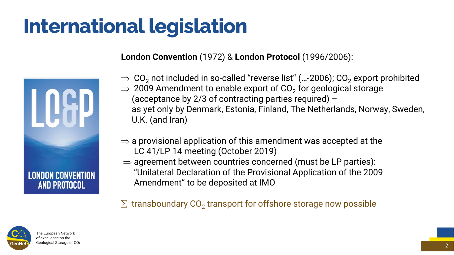**London Convention** (1972) & **London Protocol** (1996/2006):

 $\Rightarrow$  CO<sub>2</sub> not included in so-called "reverse list" (...-2006); CO<sub>2</sub> export prohibited  $\Rightarrow$  2009 Amendment to enable export of CO<sub>2</sub> for geological storage (acceptance by 2/3 of contracting parties required) – as yet only by Denmark, Estonia, Finland, The Netherlands, Norway, Sweden,

 $\Rightarrow$  a provisional application of this amendment was accepted at the

- 
- U.K. (and Iran)
- LC 41/LP 14 meeting (October 2019)
- $\Rightarrow$  agreement between countries concerned (must be LP parties): Amendment" to be deposited at IMO

 $\Sigma$  transboundary CO<sub>2</sub> transport for offshore storage now possible



"Unilateral Declaration of the Provisional Application of the 2009



### **International legislation**



2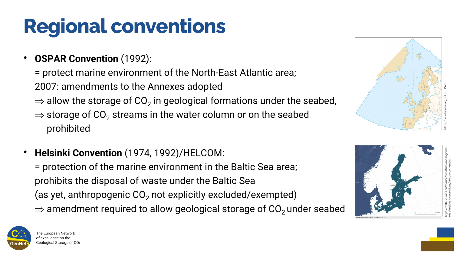### **Regional conventions**

- **OSPAR Convention** (1992):
	- = protect marine environment of the North -East Atlantic area ; 2007: amendments to the Annexes adopted
	- $\Rightarrow$  allow the storage of CO<sub>2</sub> in geological formations under the seabed,
	- $\Rightarrow$  storage of CO<sub>2</sub> streams in the water column or on the seabed prohibited
- **Helsinki Convention** (1974, 1992)/HELCOM: = protection of the marine environment in the Baltic Sea area; prohibits the disposal of waste under the Baltic Sea (as yet, anthropogenic CO<sub>2</sub> not explicitly excluded/exempted)  $\Rightarrow$  amendment required to allow geological storage of CO<sub>2</sub> under seabed









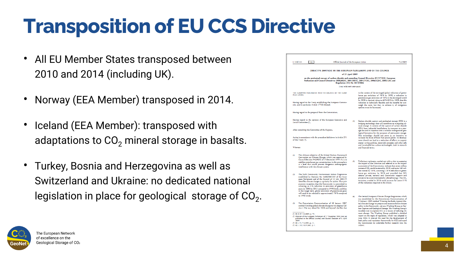## **Transposition of EU CCS Directive**

- All EU Member States transposed between 2010 and 2014 (including UK).
- Norway (EEA Member) transposed in 2014.
- Iceland (EEA Member): transposed with adaptations to  $CO<sub>2</sub>$  mineral storage in basalts.
- Turkey, Bosnia and Herzegovina as well as Switzerland and Ukraine: no dedicated national legislation in place for geological storage of  $CO<sub>2</sub>$ .



|                                                                                                                                                                                                                                    | Official Journal of the European Union<br>L140/114<br>EN                                                                                                                                                                                                                                                                                                                                                                                                                                                                               |     | 5.6.2009                                                                                                                                                                                                                                                                                                                                                                                             |  |  |  |  |  |
|------------------------------------------------------------------------------------------------------------------------------------------------------------------------------------------------------------------------------------|----------------------------------------------------------------------------------------------------------------------------------------------------------------------------------------------------------------------------------------------------------------------------------------------------------------------------------------------------------------------------------------------------------------------------------------------------------------------------------------------------------------------------------------|-----|------------------------------------------------------------------------------------------------------------------------------------------------------------------------------------------------------------------------------------------------------------------------------------------------------------------------------------------------------------------------------------------------------|--|--|--|--|--|
|                                                                                                                                                                                                                                    |                                                                                                                                                                                                                                                                                                                                                                                                                                                                                                                                        |     |                                                                                                                                                                                                                                                                                                                                                                                                      |  |  |  |  |  |
|                                                                                                                                                                                                                                    | DIRECTIVE 2009/31/EC OF THE EUROPEAN PARLIAMENT AND OF THE COUNCIL<br>of 23 April 2009                                                                                                                                                                                                                                                                                                                                                                                                                                                 |     |                                                                                                                                                                                                                                                                                                                                                                                                      |  |  |  |  |  |
|                                                                                                                                                                                                                                    |                                                                                                                                                                                                                                                                                                                                                                                                                                                                                                                                        |     |                                                                                                                                                                                                                                                                                                                                                                                                      |  |  |  |  |  |
| on the geological storage of carbon dioxide and amending Council Directive 85/337/EEC, European<br>Parliament and Council Directives 2000/60/EC, 2001/80/EC, 2004/35/EC, 2006/12/EC, 2008/1/EC and<br>Regulation (EC) No 1013/2006 |                                                                                                                                                                                                                                                                                                                                                                                                                                                                                                                                        |     |                                                                                                                                                                                                                                                                                                                                                                                                      |  |  |  |  |  |
|                                                                                                                                                                                                                                    | (Text with EEA relevance)                                                                                                                                                                                                                                                                                                                                                                                                                                                                                                              |     |                                                                                                                                                                                                                                                                                                                                                                                                      |  |  |  |  |  |
| THE EUROPEAN PARLIAMENT AND THE COUNCIL OF THE EURO-<br>PEAN UNION.<br>Having regard to the Treaty establishing the European Commu-<br>nity, and in particular Article 175(1) thereof,                                             |                                                                                                                                                                                                                                                                                                                                                                                                                                                                                                                                        |     | in the context of the envisaged global reduction of green-<br>house gas emissions of 50 % by 2050, a reduction in<br>greenhouse gas emissions of 30 % in the developed world<br>by 2020 is required, rising to 60 %-80 % by 2050, that this<br>reduction is technically feasible and the benefits far out-<br>weigh the costs, but that, to achieve it, all mitigation<br>options must be harnessed. |  |  |  |  |  |
|                                                                                                                                                                                                                                    | Having regard to the proposal from the Commission,                                                                                                                                                                                                                                                                                                                                                                                                                                                                                     |     |                                                                                                                                                                                                                                                                                                                                                                                                      |  |  |  |  |  |
|                                                                                                                                                                                                                                    |                                                                                                                                                                                                                                                                                                                                                                                                                                                                                                                                        |     |                                                                                                                                                                                                                                                                                                                                                                                                      |  |  |  |  |  |
| Having regard to the opinion of the European Economic and<br>Social Committee (1),<br>After consulting the Committee of the Regions,                                                                                               |                                                                                                                                                                                                                                                                                                                                                                                                                                                                                                                                        | (4) | Carbon dioxide capture and geological storage (CCS) is a<br>bridging technology that will contribute to mitigating cli-<br>mate change. It consists of the capture of carbon dioxide<br>(CO <sub>2</sub> ) from industrial installations, its transport to a stor-                                                                                                                                   |  |  |  |  |  |
|                                                                                                                                                                                                                                    |                                                                                                                                                                                                                                                                                                                                                                                                                                                                                                                                        |     | age site and its injection into a suitable underground geo-<br>logical formation for the purposes of permanent storage.<br>This technology should not serve as an incentive to                                                                                                                                                                                                                       |  |  |  |  |  |
| Acting in accordance with the procedure laid down in Article 251<br>of the Treaty (2),                                                                                                                                             |                                                                                                                                                                                                                                                                                                                                                                                                                                                                                                                                        |     | increase the share of fossil fuel power plants. Its develop-<br>ment should not lead to a reduction of efforts to support<br>energy saving policies, renewable energies and other safe<br>and sustainable low carbon technologies, both in research                                                                                                                                                  |  |  |  |  |  |
| Whereas:                                                                                                                                                                                                                           |                                                                                                                                                                                                                                                                                                                                                                                                                                                                                                                                        |     | and financial terms.                                                                                                                                                                                                                                                                                                                                                                                 |  |  |  |  |  |
| (1)                                                                                                                                                                                                                                | The ultimate objective of the United Nations Framework<br>Convention on Climate Change, which was approved by<br>Council Decision 94/69/EC of 15 December 1993 (3), is to<br>stabilise greenhouse gas concentrations in the atmosphere<br>at a level that would prevent dangerous anthropogenic<br>interference with the climate system.                                                                                                                                                                                               |     | (5) Preliminary estimates, carried out with a view to assessing<br>the impact of the Directive and referred to in the impact<br>assessment of the Commission, indicate that seven million<br>tonnes of CO, could be stored by 2020, and up to 160 mil-<br>lion tonnes by 2030, assuming a 20 % reduction in green-                                                                                   |  |  |  |  |  |
| (2)                                                                                                                                                                                                                                | The Sixth Community Environment Action Programme<br>established by Decision No 1600/2002/EC of the Euro-<br>pean Parliament and of the Council of 22 July 2002 (4)<br>identifies climate change as a priority for action. That pro-<br>gramme recognises that the Community is committed to<br>achieving an 8 % reduction in emissions of greenhouse<br>gases by 2008 to 2012 compared to 1990 levels, and that,<br>in the longer term, global emissions of greenhouse gases<br>will need to be reduced by approximately 70 % compared |     | house gas emissions by 2020 and provided that CCS<br>obtains private, national and Community support and<br>proves to be an environmentally safe technology. The CO <sub>2</sub><br>emissions avoided in 2030 could account for some 15 %<br>of the reductions required in the Union.                                                                                                                |  |  |  |  |  |
|                                                                                                                                                                                                                                    | to 1990 levels.                                                                                                                                                                                                                                                                                                                                                                                                                                                                                                                        | (6) | The Second European Climate Change Programme, which<br>was established by the Commission Communication of<br>9 February 2005 entitled 'Winning the Battle Against Glo-                                                                                                                                                                                                                               |  |  |  |  |  |
| (3)                                                                                                                                                                                                                                | The Commission Communication of 10 January 2007<br>entitled 'Limiting global climate change to two degrees Cel-<br>sius - The way ahead for 2020 and beyond' clarifies that                                                                                                                                                                                                                                                                                                                                                            |     | bal Climate Change' to prepare and examine future climate<br>policy in the Community, set up a Working Group on Car-<br>bon Capture and Geological Storage. The Working Group's<br>mandate was to explore CCS as a means of reducing cli-                                                                                                                                                            |  |  |  |  |  |
|                                                                                                                                                                                                                                    | (1) OJ C 27, 3.2.2009, p. 75.                                                                                                                                                                                                                                                                                                                                                                                                                                                                                                          |     | mate change. The Working Group published a detailed                                                                                                                                                                                                                                                                                                                                                  |  |  |  |  |  |
| (2) Opinion of the European Parliament of 17 December 2008 (not yet<br>published in the Official Journal) and Council Decision of 6 April<br>2009.                                                                                 |                                                                                                                                                                                                                                                                                                                                                                                                                                                                                                                                        |     | report on the topic of regulation, which was adopted in<br>June 2006. It stressed the need for the development of<br>both policy and regulatory frameworks for CCS and urged                                                                                                                                                                                                                         |  |  |  |  |  |
|                                                                                                                                                                                                                                    |                                                                                                                                                                                                                                                                                                                                                                                                                                                                                                                                        |     | the Commission to undertake further research into the                                                                                                                                                                                                                                                                                                                                                |  |  |  |  |  |



4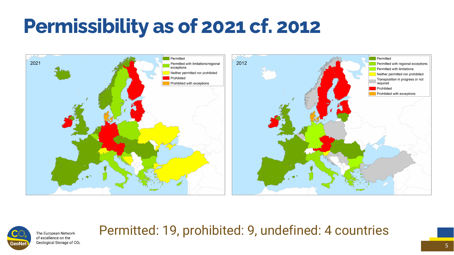### **Permissibility as of 2021 cf. 2012**





The European Network of excellence on the Geological Storage of CO<sub>2</sub> 5

### Permitted: 19, prohibited: 9, undefined: 4 countries

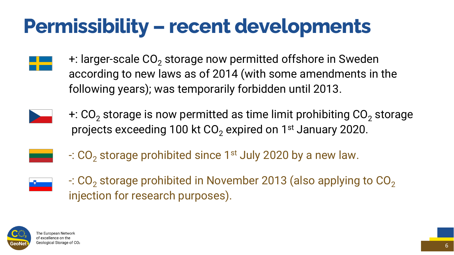### **Permissibility – recent developments**





 $+$ : larger-scale  $CO<sub>2</sub>$  storage now permitted offshore in Sweden according to new laws as of 2014 (with some amendments in the following years); was temporarily forbidden until 2013.



 $+$ : CO<sub>2</sub> storage is now permitted as time limit prohibiting CO<sub>2</sub> storage projects exceeding 100 kt  $CO<sub>2</sub>$  expired on 1<sup>st</sup> January 2020.



 $\cdot$ : CO<sub>2</sub> storage prohibited since 1<sup>st</sup> July 2020 by a new law.



 $-$ : CO<sub>2</sub> storage prohibited in November 2013 (also applying to CO<sub>2</sub>) injection for research purposes).



The European Network of excellence on the Geological Storage of CO2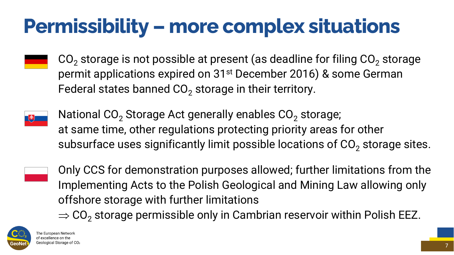### **Permissibility – more complex situations**

 $CO<sub>2</sub>$  storage is not possible at present (as deadline for filing  $CO<sub>2</sub>$  storage permit applications expired on 31<sup>st</sup> December 2016) & some German Federal states banned  $CO<sub>2</sub>$  storage in their territory.



National  $CO<sub>2</sub>$  Storage Act generally enables  $CO<sub>2</sub>$  storage; at same time, other regulations protecting priority areas for other subsurface uses significantly limit possible locations of  $CO<sub>2</sub>$  storage sites.



7

- Only CCS for demonstration purposes allowed; further limitations from the Implementing Acts to the Polish Geological and Mining Law allowing only
- $\Rightarrow$  CO<sub>2</sub> storage permissible only in Cambrian reservoir within Polish EEZ.





offshore storage with further limitations

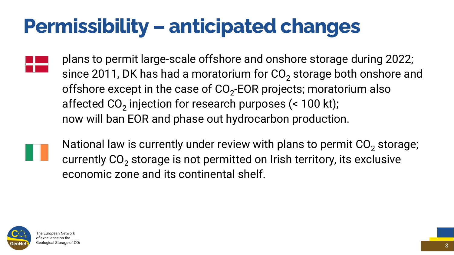## **Permissibility – anticipated changes**



plans to permit large-scale offshore and onshore storage during 2022; since 2011, DK has had a moratorium for  $CO<sub>2</sub>$  storage both onshore and offshore except in the case of  $CO<sub>2</sub>$ -EOR projects; moratorium also affected  $CO<sub>2</sub>$  injection for research purposes (< 100 kt); now will ban EOR and phase out hydrocarbon production.



National law is currently under review with plans to permit  $CO<sub>2</sub>$  storage; currently  $CO<sub>2</sub>$  storage is not permitted on Irish territory, its exclusive economic zone and its continental shelf.

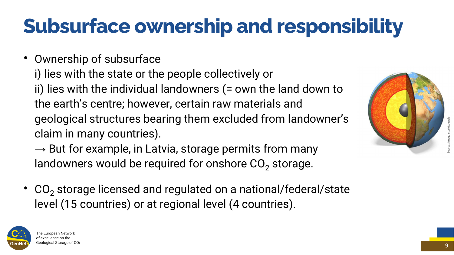• Ownership of subsurface i) lies with the state or the people collectively or ii) lies with the individual landowners (= own the land down to the earth's centre; however, certain raw materials and geological structures bearing them excluded from landowner's claim in many countries).

 $\rightarrow$  But for example, in Latvia, storage permits from many landowners would be required for onshore  $CO<sub>2</sub>$  storage.

•  $CO<sub>2</sub>$  storage licensed and regulated on a national/federal/state level (15 countries) or at regional level (4 countries).





## **Subsurface ownership and responsibility**

9 Source:: imago stock&people

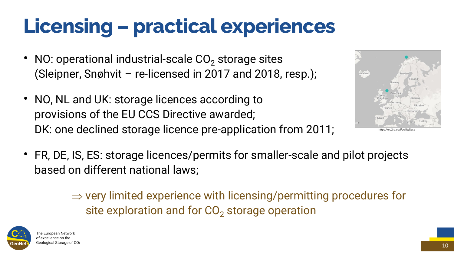- NO: operational industrial-scale  $CO<sub>2</sub>$  storage sites (Sleipner, Snøhvit – re-licensed in 2017 and 2018, resp.);
- NO, NL and UK: storage licences according to provisions of the EU CCS Directive awarded; DK: one declined storage licence pre-application from 2011;
- FR, DE, IS, ES: storage licences/permits for smaller-scale and pilot projects based on different national laws;

site exploration and for CO<sub>2</sub> storage operation



## **Licensing – practical experiences**





 $\Rightarrow$  very limited experience with licensing/permitting procedures for